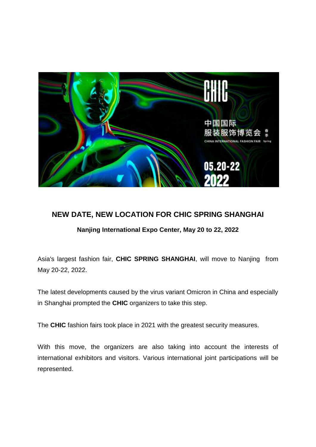

## **NEW DATE, NEW LOCATION FOR CHIC SPRING SHANGHAI**

**Nanjing International Expo Center, May 20 to 22, 2022**

Asia's largest fashion fair, **CHIC SPRING SHANGHAI**, will move to Nanjing from May 20-22, 2022.

The latest developments caused by the virus variant Omicron in China and especially in Shanghai prompted the **CHIC** organizers to take this step.

The **CHIC** fashion fairs took place in 2021 with the greatest security measures.

With this move, the organizers are also taking into account the interests of international exhibitors and visitors. Various international joint participations will be represented.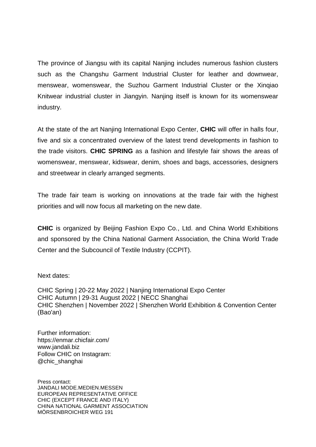The province of Jiangsu with its capital Nanjing includes numerous fashion clusters such as the Changshu Garment Industrial Cluster for leather and downwear, menswear, womenswear, the Suzhou Garment Industrial Cluster or the Xinqiao Knitwear industrial cluster in Jiangyin. Nanjing itself is known for its womenswear industry.

At the state of the art Nanjing International Expo Center, **CHIC** will offer in halls four, five and six a concentrated overview of the latest trend developments in fashion to the trade visitors. **CHIC SPRING** as a fashion and lifestyle fair shows the areas of womenswear, menswear, kidswear, denim, shoes and bags, accessories, designers and streetwear in clearly arranged segments.

The trade fair team is working on innovations at the trade fair with the highest priorities and will now focus all marketing on the new date.

**CHIC** is organized by Beijing Fashion Expo Co., Ltd. and China World Exhibitions and sponsored by the China National Garment Association, the China World Trade Center and the Subcouncil of Textile Industry (CCPIT).

Next dates:

CHIC Spring | 20-22 May 2022 | Nanjing International Expo Center CHIC Autumn | 29-31 August 2022 | NECC Shanghai CHIC Shenzhen | November 2022 | Shenzhen World Exhibition & Convention Center (Bao'an)

Further information: https://enmar.chicfair.com/ www.jandali.biz Follow CHIC on Instagram: @chic\_shanghai

Press contact: JANDALI MODE.MEDIEN.MESSEN EUROPEAN REPRESENTATIVE OFFICE CHIC (EXCEPT FRANCE AND ITALY) CHINA NATIONAL GARMENT ASSOCIATION MÖRSENBROICHER WEG 191